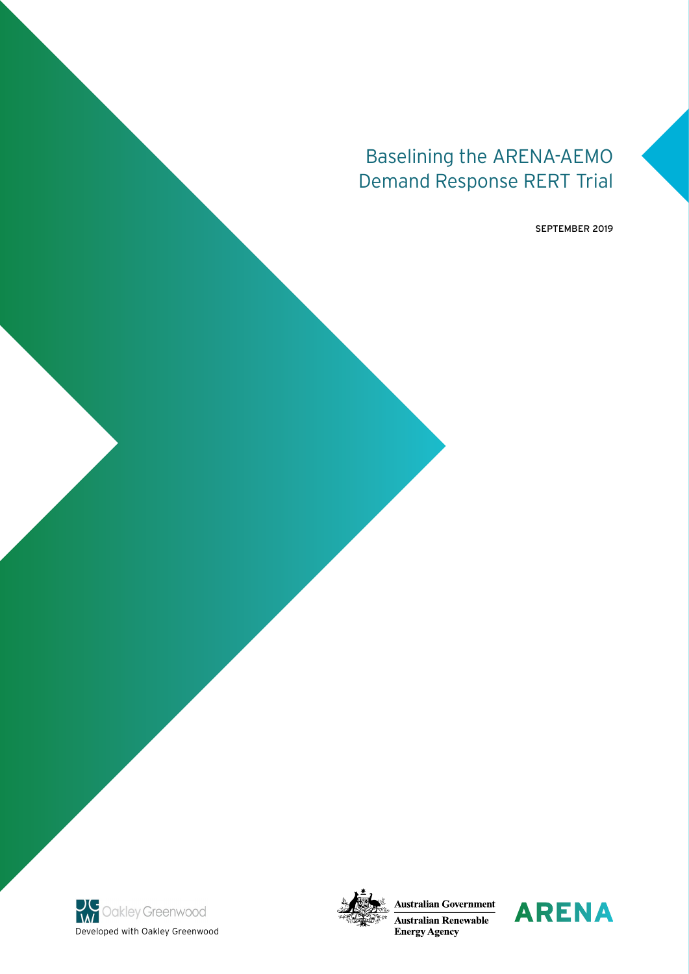# Baselining the ARENA-AEMO Demand Response RERT Trial

SEPTEMBER 2019





**Australian Government Australian Renewable Energy Agency** 

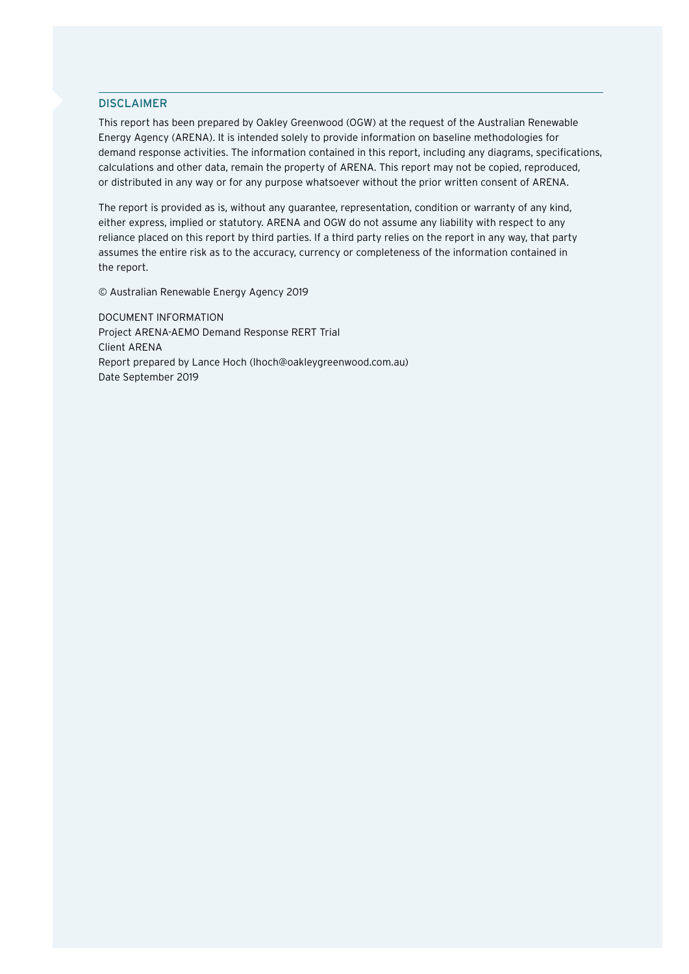#### DISCLAIMER

This report has been prepared by Oakley Greenwood (OGW) at the request of the Australian Renewable Energy Agency (ARENA). It is intended solely to provide information on baseline methodologies for demand response activities. The information contained in this report, including any diagrams, specifications, calculations and other data, remain the property of ARENA. This report may not be copied, reproduced, or distributed in any way or for any purpose whatsoever without the prior written consent of ARENA.

The report is provided as is, without any guarantee, representation, condition or warranty of any kind, either express, implied or statutory. ARENA and OGW do not assume any liability with respect to any reliance placed on this report by third parties. If a third party relies on the report in any way, that party assumes the entire risk as to the accuracy, currency or completeness of the information contained in the report.

© Australian Renewable Energy Agency 2019

DOCUMENT INFORMATION Project ARENA-AEMO Demand Response RERT Trial Client ARENA Report prepared by Lance Hoch (lhoch@oakleygreenwood.com.au) Date September 2019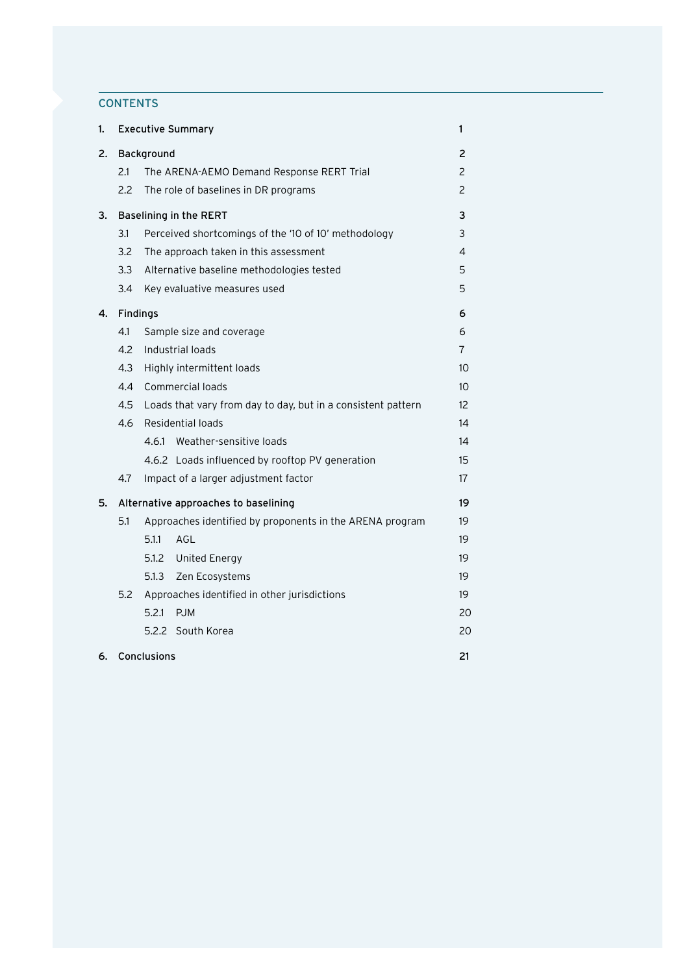# **CONTENTS**

| 1. | <b>Executive Summary</b> |             |                                                              |                           |  |  |
|----|--------------------------|-------------|--------------------------------------------------------------|---------------------------|--|--|
| 2. |                          | Background  |                                                              | 2                         |  |  |
|    | 2.1                      |             | The ARENA-AEMO Demand Response RERT Trial                    | $\mathsf{2}^{\mathsf{2}}$ |  |  |
|    | 2.2                      |             | The role of baselines in DR programs                         | 2                         |  |  |
| З. |                          |             | Baselining in the RERT                                       | 3                         |  |  |
|    | 3.1                      |             | Perceived shortcomings of the '10 of 10' methodology         | 3                         |  |  |
|    | 3.2                      |             | The approach taken in this assessment                        | 4                         |  |  |
|    | 3.3                      |             | Alternative baseline methodologies tested                    | 5                         |  |  |
|    | 3.4                      |             | Key evaluative measures used                                 | 5                         |  |  |
| 4. | <b>Findings</b>          |             |                                                              | 6                         |  |  |
|    | 4.1                      |             | Sample size and coverage                                     | 6                         |  |  |
|    | 4.2                      |             | Industrial loads                                             | 7                         |  |  |
|    | 4.3                      |             | Highly intermittent loads                                    | 10                        |  |  |
|    | 4.4                      |             | Commercial loads                                             | 10                        |  |  |
|    | 4.5                      |             | Loads that vary from day to day, but in a consistent pattern | $12 \overline{ }$         |  |  |
|    | 4.6                      |             | Residential loads                                            | 14                        |  |  |
|    |                          |             | 4.6.1 Weather-sensitive loads                                | 14                        |  |  |
|    |                          |             | 4.6.2 Loads influenced by rooftop PV generation              | 15                        |  |  |
|    | 4.7                      |             | Impact of a larger adjustment factor                         | 17                        |  |  |
| 5. |                          |             | Alternative approaches to baselining                         | 19                        |  |  |
|    | 5.1                      |             | Approaches identified by proponents in the ARENA program     | 19                        |  |  |
|    |                          | 5.1.1       | AGL                                                          | 19                        |  |  |
|    |                          |             | 5.1.2 United Energy                                          | 19                        |  |  |
|    |                          |             | 5.1.3 Zen Ecosystems                                         | 19                        |  |  |
|    | 5.2                      |             | Approaches identified in other jurisdictions                 | 19                        |  |  |
|    |                          | 5.2.1       | <b>PJM</b>                                                   | 20                        |  |  |
|    |                          |             | 5.2.2 South Korea                                            | 20                        |  |  |
| 6. |                          | Conclusions |                                                              | 21                        |  |  |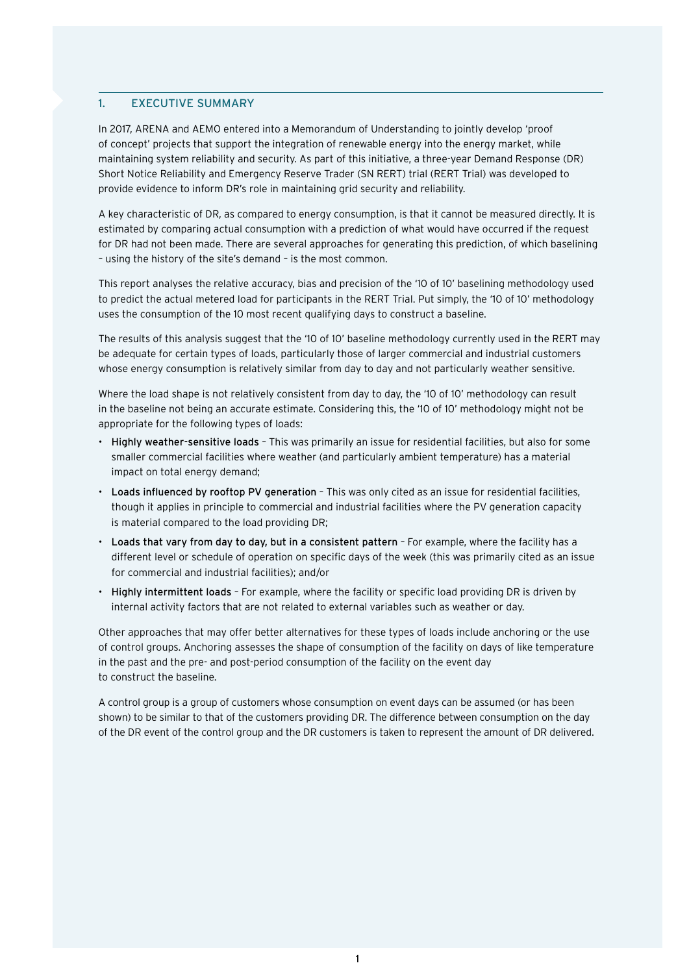## <span id="page-3-0"></span>1. EXECUTIVE SUMMARY

In 2017, ARENA and AEMO entered into a Memorandum of Understanding to jointly develop 'proof of concept' projects that support the integration of renewable energy into the energy market, while maintaining system reliability and security. As part of this initiative, a three-year Demand Response (DR) Short Notice Reliability and Emergency Reserve Trader (SN RERT) trial (RERT Trial) was developed to provide evidence to inform DR's role in maintaining grid security and reliability.

A key characteristic of DR, as compared to energy consumption, is that it cannot be measured directly. It is estimated by comparing actual consumption with a prediction of what would have occurred if the request for DR had not been made. There are several approaches for generating this prediction, of which baselining – using the history of the site's demand – is the most common.

This report analyses the relative accuracy, bias and precision of the '10 of 10' baselining methodology used to predict the actual metered load for participants in the RERT Trial. Put simply, the '10 of 10' methodology uses the consumption of the 10 most recent qualifying days to construct a baseline.

The results of this analysis suggest that the '10 of 10' baseline methodology currently used in the RERT may be adequate for certain types of loads, particularly those of larger commercial and industrial customers whose energy consumption is relatively similar from day to day and not particularly weather sensitive.

Where the load shape is not relatively consistent from day to day, the '10 of 10' methodology can result in the baseline not being an accurate estimate. Considering this, the '10 of 10' methodology might not be appropriate for the following types of loads:

- Highly weather-sensitive loads This was primarily an issue for residential facilities, but also for some smaller commercial facilities where weather (and particularly ambient temperature) has a material impact on total energy demand;
- Loads influenced by rooftop PV generation This was only cited as an issue for residential facilities, though it applies in principle to commercial and industrial facilities where the PV generation capacity is material compared to the load providing DR;
- Loads that vary from day to day, but in a consistent pattern For example, where the facility has a different level or schedule of operation on specific days of the week (this was primarily cited as an issue for commercial and industrial facilities); and/or
- Highly intermittent loads For example, where the facility or specific load providing DR is driven by internal activity factors that are not related to external variables such as weather or day.

Other approaches that may offer better alternatives for these types of loads include anchoring or the use of control groups. Anchoring assesses the shape of consumption of the facility on days of like temperature in the past and the pre- and post-period consumption of the facility on the event day to construct the baseline.

A control group is a group of customers whose consumption on event days can be assumed (or has been shown) to be similar to that of the customers providing DR. The difference between consumption on the day of the DR event of the control group and the DR customers is taken to represent the amount of DR delivered.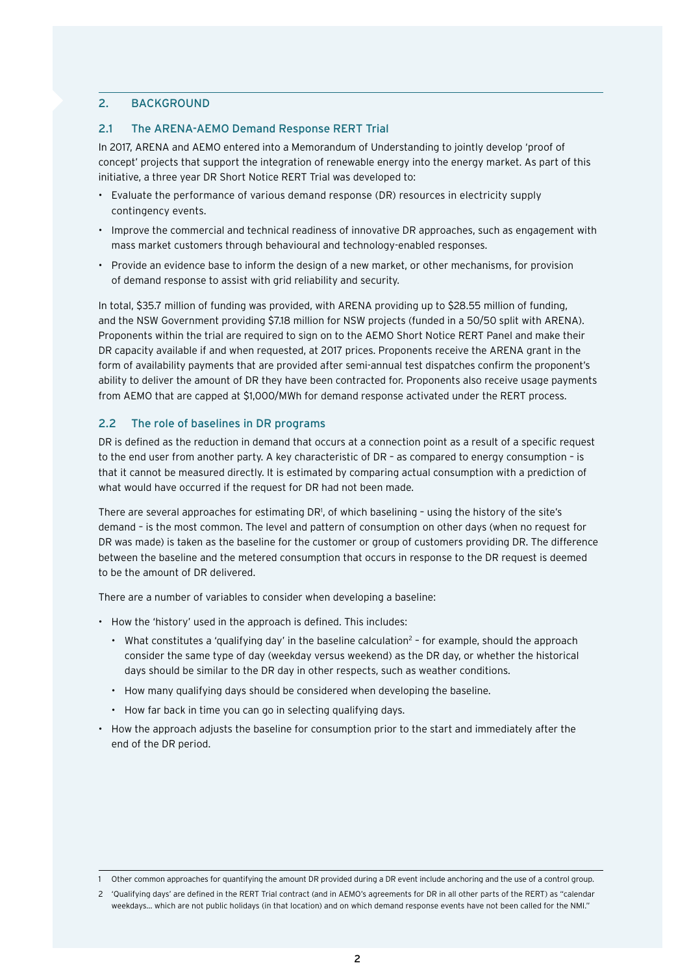# <span id="page-4-0"></span>2. BACKGROUND

# 2.1 The ARENA-AEMO Demand Response RERT Trial

In 2017, ARENA and AEMO entered into a Memorandum of Understanding to jointly develop 'proof of concept' projects that support the integration of renewable energy into the energy market. As part of this initiative, a three year DR Short Notice RERT Trial was developed to:

- Evaluate the performance of various demand response (DR) resources in electricity supply contingency events.
- Improve the commercial and technical readiness of innovative DR approaches, such as engagement with mass market customers through behavioural and technology-enabled responses.
- Provide an evidence base to inform the design of a new market, or other mechanisms, for provision of demand response to assist with grid reliability and security.

In total, \$35.7 million of funding was provided, with ARENA providing up to \$28.55 million of funding, and the NSW Government providing \$7.18 million for NSW projects (funded in a 50/50 split with ARENA). Proponents within the trial are required to sign on to the AEMO Short Notice RERT Panel and make their DR capacity available if and when requested, at 2017 prices. Proponents receive the ARENA grant in the form of availability payments that are provided after semi-annual test dispatches confirm the proponent's ability to deliver the amount of DR they have been contracted for. Proponents also receive usage payments from AEMO that are capped at \$1,000/MWh for demand response activated under the RERT process.

# 2.2 The role of baselines in DR programs

DR is defined as the reduction in demand that occurs at a connection point as a result of a specific request to the end user from another party. A key characteristic of DR – as compared to energy consumption – is that it cannot be measured directly. It is estimated by comparing actual consumption with a prediction of what would have occurred if the request for DR had not been made.

There are several approaches for estimating DR<sup>1</sup>, of which baselining - using the history of the site's demand – is the most common. The level and pattern of consumption on other days (when no request for DR was made) is taken as the baseline for the customer or group of customers providing DR. The difference between the baseline and the metered consumption that occurs in response to the DR request is deemed to be the amount of DR delivered.

There are a number of variables to consider when developing a baseline:

- How the 'history' used in the approach is defined. This includes:
	- What constitutes a 'qualifying day' in the baseline calculation<sup>2</sup> for example, should the approach consider the same type of day (weekday versus weekend) as the DR day, or whether the historical days should be similar to the DR day in other respects, such as weather conditions.
	- How many qualifying days should be considered when developing the baseline.
	- How far back in time you can go in selecting qualifying days.
- How the approach adjusts the baseline for consumption prior to the start and immediately after the end of the DR period.

<sup>1</sup> Other common approaches for quantifying the amount DR provided during a DR event include anchoring and the use of a control group.

<sup>2</sup> 'Qualifying days' are defined in the RERT Trial contract (and in AEMO's agreements for DR in all other parts of the RERT) as "calendar weekdays... which are not public holidays (in that location) and on which demand response events have not been called for the NMI."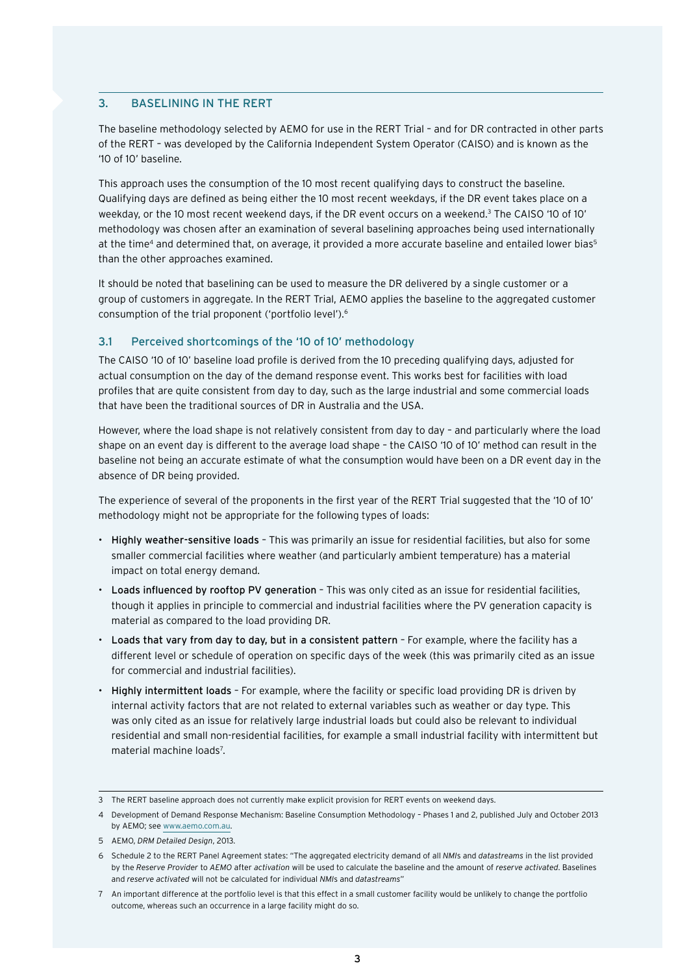# <span id="page-5-0"></span>3. BASELINING IN THE RERT

The baseline methodology selected by AEMO for use in the RERT Trial – and for DR contracted in other parts of the RERT – was developed by the California Independent System Operator (CAISO) and is known as the '10 of 10' baseline.

This approach uses the consumption of the 10 most recent qualifying days to construct the baseline. Qualifying days are defined as being either the 10 most recent weekdays, if the DR event takes place on a weekday, or the 10 most recent weekend days, if the DR event occurs on a weekend.3 The CAISO '10 of 10' methodology was chosen after an examination of several baselining approaches being used internationally at the time<sup>4</sup> and determined that, on average, it provided a more accurate baseline and entailed lower bias<sup>5</sup> than the other approaches examined.

It should be noted that baselining can be used to measure the DR delivered by a single customer or a group of customers in aggregate. In the RERT Trial, AEMO applies the baseline to the aggregated customer consumption of the trial proponent ('portfolio level').6

# 3.1 Perceived shortcomings of the '10 of 10' methodology

The CAISO '10 of 10' baseline load profile is derived from the 10 preceding qualifying days, adjusted for actual consumption on the day of the demand response event. This works best for facilities with load profiles that are quite consistent from day to day, such as the large industrial and some commercial loads that have been the traditional sources of DR in Australia and the USA.

However, where the load shape is not relatively consistent from day to day – and particularly where the load shape on an event day is different to the average load shape – the CAISO '10 of 10' method can result in the baseline not being an accurate estimate of what the consumption would have been on a DR event day in the absence of DR being provided.

The experience of several of the proponents in the first year of the RERT Trial suggested that the '10 of 10' methodology might not be appropriate for the following types of loads:

- Highly weather-sensitive loads This was primarily an issue for residential facilities, but also for some smaller commercial facilities where weather (and particularly ambient temperature) has a material impact on total energy demand.
- Loads influenced by rooftop PV generation This was only cited as an issue for residential facilities, though it applies in principle to commercial and industrial facilities where the PV generation capacity is material as compared to the load providing DR.
- Loads that vary from day to day, but in a consistent pattern For example, where the facility has a different level or schedule of operation on specific days of the week (this was primarily cited as an issue for commercial and industrial facilities).
- Highly intermittent loads For example, where the facility or specific load providing DR is driven by internal activity factors that are not related to external variables such as weather or day type. This was only cited as an issue for relatively large industrial loads but could also be relevant to individual residential and small non-residential facilities, for example a small industrial facility with intermittent but material machine loads<sup>7</sup>.

<sup>3</sup> The RERT baseline approach does not currently make explicit provision for RERT events on weekend days.

<sup>4</sup> Development of Demand Response Mechanism: Baseline Consumption Methodology – Phases 1 and 2, published July and October 2013 by AEMO; see<www.aemo.com.au>.

<sup>5</sup> AEMO, *DRM Detailed Design*, 2013.

<sup>6</sup> Schedule 2 to the RERT Panel Agreement states: "The aggregated electricity demand of all *NMI*s and *datastreams* in the list provided by the *Reserve Provider* to *AEMO* after *activation* will be used to calculate the baseline and the amount of *reserve activated*. Baselines and *reserve activated* will not be calculated for individual *NMI*s and *datastreams*"

<sup>7</sup> An important difference at the portfolio level is that this effect in a small customer facility would be unlikely to change the portfolio outcome, whereas such an occurrence in a large facility might do so.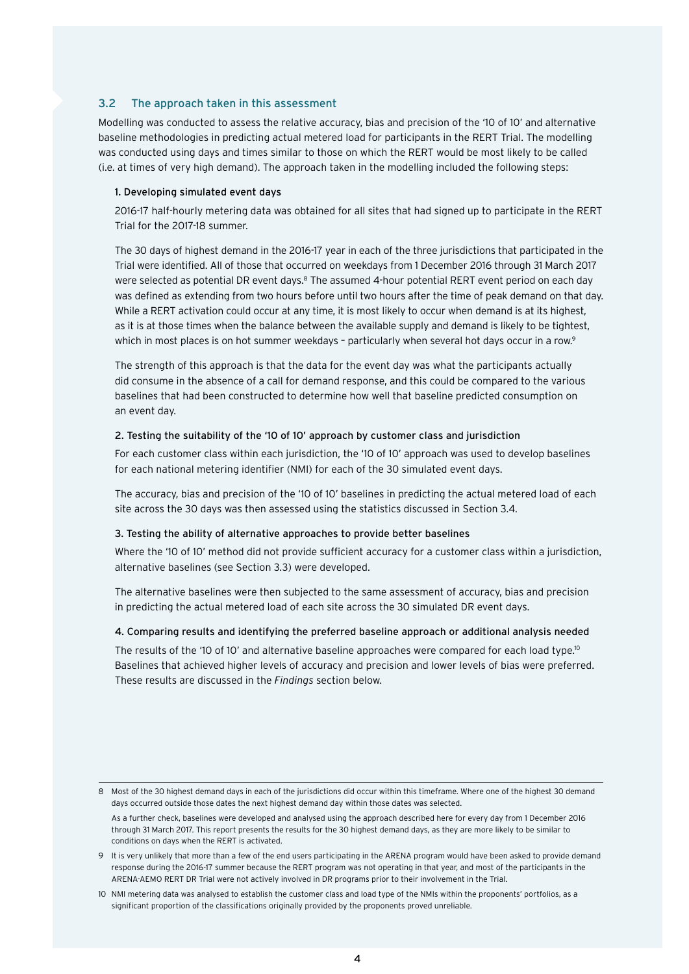# <span id="page-6-0"></span>3.2 The approach taken in this assessment

Modelling was conducted to assess the relative accuracy, bias and precision of the '10 of 10' and alternative baseline methodologies in predicting actual metered load for participants in the RERT Trial. The modelling was conducted using days and times similar to those on which the RERT would be most likely to be called (i.e. at times of very high demand). The approach taken in the modelling included the following steps:

#### 1. Developing simulated event days

2016-17 half-hourly metering data was obtained for all sites that had signed up to participate in the RERT Trial for the 2017-18 summer.

The 30 days of highest demand in the 2016-17 year in each of the three jurisdictions that participated in the Trial were identified. All of those that occurred on weekdays from 1 December 2016 through 31 March 2017 were selected as potential DR event days.<sup>8</sup> The assumed 4-hour potential RERT event period on each day was defined as extending from two hours before until two hours after the time of peak demand on that day. While a RERT activation could occur at any time, it is most likely to occur when demand is at its highest, as it is at those times when the balance between the available supply and demand is likely to be tightest, which in most places is on hot summer weekdays - particularly when several hot days occur in a row.<sup>9</sup>

The strength of this approach is that the data for the event day was what the participants actually did consume in the absence of a call for demand response, and this could be compared to the various baselines that had been constructed to determine how well that baseline predicted consumption on an event day.

# 2. Testing the suitability of the '10 of 10' approach by customer class and jurisdiction

For each customer class within each jurisdiction, the '10 of 10' approach was used to develop baselines for each national metering identifier (NMI) for each of the 30 simulated event days.

The accuracy, bias and precision of the '10 of 10' baselines in predicting the actual metered load of each site across the 30 days was then assessed using the statistics discussed in Section 3.4.

#### 3. Testing the ability of alternative approaches to provide better baselines

Where the '10 of 10' method did not provide sufficient accuracy for a customer class within a jurisdiction, alternative baselines (see Section 3.3) were developed.

The alternative baselines were then subjected to the same assessment of accuracy, bias and precision in predicting the actual metered load of each site across the 30 simulated DR event days.

#### 4. Comparing results and identifying the preferred baseline approach or additional analysis needed

The results of the '10 of 10' and alternative baseline approaches were compared for each load type.<sup>10</sup> Baselines that achieved higher levels of accuracy and precision and lower levels of bias were preferred. These results are discussed in the *Findings* section below.

<sup>8</sup> Most of the 30 highest demand days in each of the jurisdictions did occur within this timeframe. Where one of the highest 30 demand days occurred outside those dates the next highest demand day within those dates was selected.

As a further check, baselines were developed and analysed using the approach described here for every day from 1 December 2016 through 31 March 2017. This report presents the results for the 30 highest demand days, as they are more likely to be similar to conditions on days when the RERT is activated.

<sup>9</sup> It is very unlikely that more than a few of the end users participating in the ARENA program would have been asked to provide demand response during the 2016-17 summer because the RERT program was not operating in that year, and most of the participants in the ARENA-AEMO RERT DR Trial were not actively involved in DR programs prior to their involvement in the Trial.

<sup>10</sup> NMI metering data was analysed to establish the customer class and load type of the NMIs within the proponents' portfolios, as a significant proportion of the classifications originally provided by the proponents proved unreliable.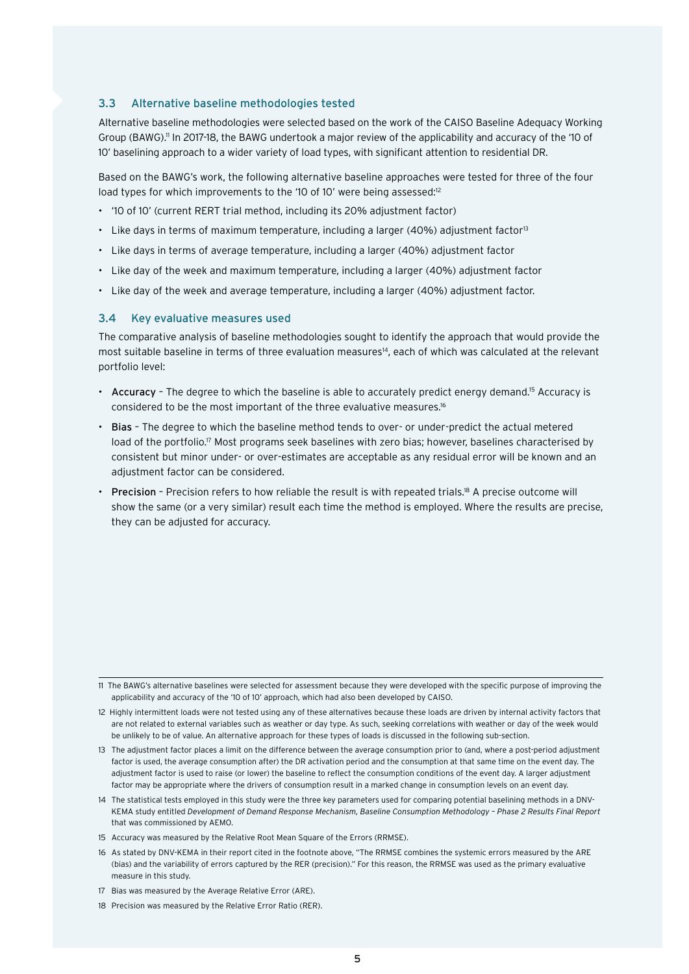#### <span id="page-7-0"></span>3.3 Alternative baseline methodologies tested

Alternative baseline methodologies were selected based on the work of the CAISO Baseline Adequacy Working Group (BAWG).<sup>11</sup> In 2017-18, the BAWG undertook a major review of the applicability and accuracy of the '10 of 10' baselining approach to a wider variety of load types, with significant attention to residential DR.

Based on the BAWG's work, the following alternative baseline approaches were tested for three of the four load types for which improvements to the '10 of 10' were being assessed:<sup>12</sup>

- '10 of 10' (current RERT trial method, including its 20% adjustment factor)
- Like days in terms of maximum temperature, including a larger (40%) adjustment factor<sup>13</sup>
- Like days in terms of average temperature, including a larger (40%) adjustment factor
- Like day of the week and maximum temperature, including a larger (40%) adjustment factor
- Like day of the week and average temperature, including a larger (40%) adjustment factor.

#### 3.4 Key evaluative measures used

The comparative analysis of baseline methodologies sought to identify the approach that would provide the most suitable baseline in terms of three evaluation measures<sup>14</sup>, each of which was calculated at the relevant portfolio level:

- Accuracy The degree to which the baseline is able to accurately predict energy demand.<sup>15</sup> Accuracy is considered to be the most important of the three evaluative measures.16
- Bias The degree to which the baseline method tends to over- or under-predict the actual metered load of the portfolio.<sup>17</sup> Most programs seek baselines with zero bias; however, baselines characterised by consistent but minor under- or over-estimates are acceptable as any residual error will be known and an adjustment factor can be considered.
- Precision Precision refers to how reliable the result is with repeated trials.<sup>18</sup> A precise outcome will show the same (or a very similar) result each time the method is employed. Where the results are precise, they can be adjusted for accuracy.

<sup>11</sup> The BAWG's alternative baselines were selected for assessment because they were developed with the specific purpose of improving the applicability and accuracy of the '10 of 10' approach, which had also been developed by CAISO.

<sup>12</sup> Highly intermittent loads were not tested using any of these alternatives because these loads are driven by internal activity factors that are not related to external variables such as weather or day type. As such, seeking correlations with weather or day of the week would be unlikely to be of value. An alternative approach for these types of loads is discussed in the following sub-section.

<sup>13</sup> The adjustment factor places a limit on the difference between the average consumption prior to (and, where a post-period adjustment factor is used, the average consumption after) the DR activation period and the consumption at that same time on the event day. The adjustment factor is used to raise (or lower) the baseline to reflect the consumption conditions of the event day. A larger adjustment factor may be appropriate where the drivers of consumption result in a marked change in consumption levels on an event day.

<sup>14</sup> The statistical tests employed in this study were the three key parameters used for comparing potential baselining methods in a DNV-KEMA study entitled *Development of Demand Response Mechanism, Baseline Consumption Methodology – Phase 2 Results Final Report*  that was commissioned by AEMO.

<sup>15</sup> Accuracy was measured by the Relative Root Mean Square of the Errors (RRMSE).

<sup>16</sup> As stated by DNV-KEMA in their report cited in the footnote above, "The RRMSE combines the systemic errors measured by the ARE (bias) and the variability of errors captured by the RER (precision)." For this reason, the RRMSE was used as the primary evaluative measure in this study.

<sup>17</sup> Bias was measured by the Average Relative Error (ARE).

<sup>18</sup> Precision was measured by the Relative Error Ratio (RER).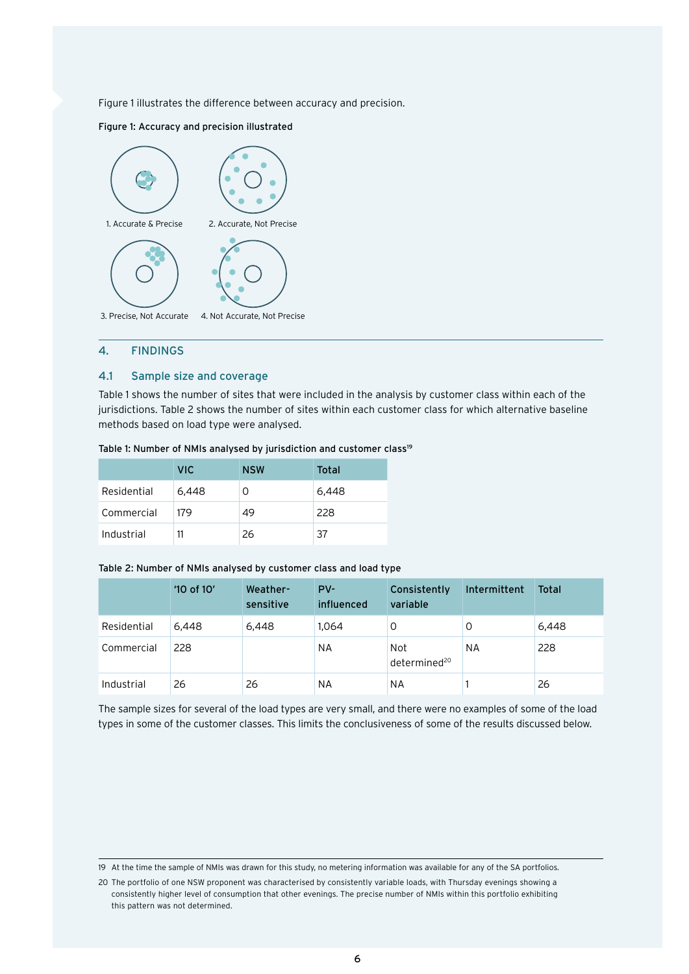<span id="page-8-0"></span>Figure 1 illustrates the difference between accuracy and precision.

#### Figure 1: Accuracy and precision illustrated



#### 4. FINDINGS

## 4.1 Sample size and coverage

Table 1 shows the number of sites that were included in the analysis by customer class within each of the jurisdictions. Table 2 shows the number of sites within each customer class for which alternative baseline methods based on load type were analysed.

|             | <b>VIC</b> | <b>NSW</b> | Total |
|-------------|------------|------------|-------|
| Residential | 6,448      | O          | 6,448 |
| Commercial  | 179        | 49         | 228   |
| Industrial  |            | 26         | 37    |

#### Table 1: Number of NMIs analysed by jurisdiction and customer class<sup>19</sup>

#### Table 2: Number of NMIs analysed by customer class and load type

|             | '10 of 10' | Weather-<br>sensitive | $PV-$<br>influenced | Consistently<br>variable        | Intermittent | <b>Total</b> |
|-------------|------------|-----------------------|---------------------|---------------------------------|--------------|--------------|
| Residential | 6.448      | 6,448                 | 1.064               | 0                               | 0            | 6,448        |
| Commercial  | 228        |                       | NA                  | Not<br>determined <sup>20</sup> | ΝA           | 228          |
| Industrial  | 26         | 26                    | NA                  | <b>NA</b>                       |              | 26           |

The sample sizes for several of the load types are very small, and there were no examples of some of the load types in some of the customer classes. This limits the conclusiveness of some of the results discussed below.

<sup>19</sup> At the time the sample of NMIs was drawn for this study, no metering information was available for any of the SA portfolios.

<sup>20</sup> The portfolio of one NSW proponent was characterised by consistently variable loads, with Thursday evenings showing a consistently higher level of consumption that other evenings. The precise number of NMIs within this portfolio exhibiting this pattern was not determined.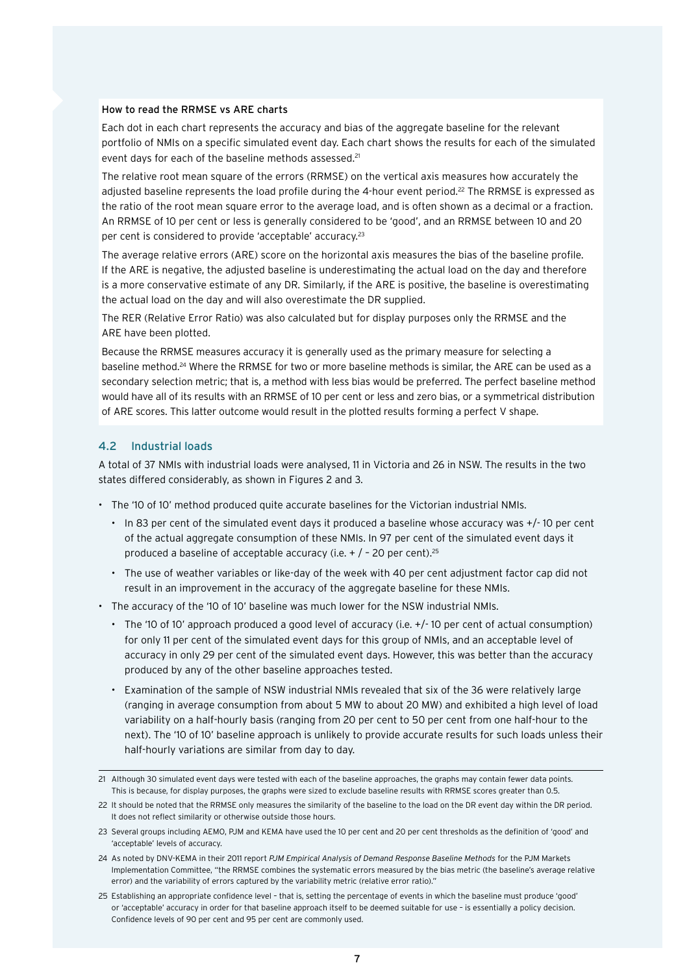#### <span id="page-9-0"></span>How to read the RRMSE vs ARE charts

Each dot in each chart represents the accuracy and bias of the aggregate baseline for the relevant portfolio of NMIs on a specific simulated event day. Each chart shows the results for each of the simulated event days for each of the baseline methods assessed.<sup>21</sup>

The relative root mean square of the errors (RRMSE) on the vertical axis measures how accurately the adjusted baseline represents the load profile during the 4-hour event period.22 The RRMSE is expressed as the ratio of the root mean square error to the average load, and is often shown as a decimal or a fraction. An RRMSE of 10 per cent or less is generally considered to be 'good', and an RRMSE between 10 and 20 per cent is considered to provide 'acceptable' accuracy.23

The average relative errors (ARE) score on the horizontal axis measures the bias of the baseline profile. If the ARE is negative, the adjusted baseline is underestimating the actual load on the day and therefore is a more conservative estimate of any DR. Similarly, if the ARE is positive, the baseline is overestimating the actual load on the day and will also overestimate the DR supplied.

The RER (Relative Error Ratio) was also calculated but for display purposes only the RRMSE and the ARE have been plotted.

Because the RRMSE measures accuracy it is generally used as the primary measure for selecting a baseline method.24 Where the RRMSE for two or more baseline methods is similar, the ARE can be used as a secondary selection metric; that is, a method with less bias would be preferred. The perfect baseline method would have all of its results with an RRMSE of 10 per cent or less and zero bias, or a symmetrical distribution of ARE scores. This latter outcome would result in the plotted results forming a perfect V shape.

# 4.2 Industrial loads

A total of 37 NMIs with industrial loads were analysed, 11 in Victoria and 26 in NSW. The results in the two states differed considerably, as shown in Figures 2 and 3.

- The '10 of 10' method produced quite accurate baselines for the Victorian industrial NMIs.
	- In 83 per cent of the simulated event days it produced a baseline whose accuracy was +/- 10 per cent of the actual aggregate consumption of these NMIs. In 97 per cent of the simulated event days it produced a baseline of acceptable accuracy (i.e.  $+$  / - 20 per cent).<sup>25</sup>
	- The use of weather variables or like-day of the week with 40 per cent adjustment factor cap did not result in an improvement in the accuracy of the aggregate baseline for these NMIs.
- The accuracy of the '10 of 10' baseline was much lower for the NSW industrial NMIs.
	- The '10 of 10' approach produced a good level of accuracy (i.e. +/- 10 per cent of actual consumption) for only 11 per cent of the simulated event days for this group of NMIs, and an acceptable level of accuracy in only 29 per cent of the simulated event days. However, this was better than the accuracy produced by any of the other baseline approaches tested.
	- Examination of the sample of NSW industrial NMIs revealed that six of the 36 were relatively large (ranging in average consumption from about 5 MW to about 20 MW) and exhibited a high level of load variability on a half-hourly basis (ranging from 20 per cent to 50 per cent from one half-hour to the next). The '10 of 10' baseline approach is unlikely to provide accurate results for such loads unless their half-hourly variations are similar from day to day.

<sup>21</sup> Although 30 simulated event days were tested with each of the baseline approaches, the graphs may contain fewer data points. This is because, for display purposes, the graphs were sized to exclude baseline results with RRMSE scores greater than 0.5.

<sup>22</sup> It should be noted that the RRMSE only measures the similarity of the baseline to the load on the DR event day within the DR period. It does not reflect similarity or otherwise outside those hours.

<sup>23</sup> Several groups including AEMO, PJM and KEMA have used the 10 per cent and 20 per cent thresholds as the definition of 'good' and 'acceptable' levels of accuracy.

<sup>24</sup> As noted by DNV-KEMA in their 2011 report *PJM Empirical Analysis of Demand Response Baseline Methods* for the PJM Markets Implementation Committee, "the RRMSE combines the systematic errors measured by the bias metric (the baseline's average relative error) and the variability of errors captured by the variability metric (relative error ratio)."

<sup>25</sup> Establishing an appropriate confidence level – that is, setting the percentage of events in which the baseline must produce 'good' or 'acceptable' accuracy in order for that baseline approach itself to be deemed suitable for use – is essentially a policy decision. Confidence levels of 90 per cent and 95 per cent are commonly used.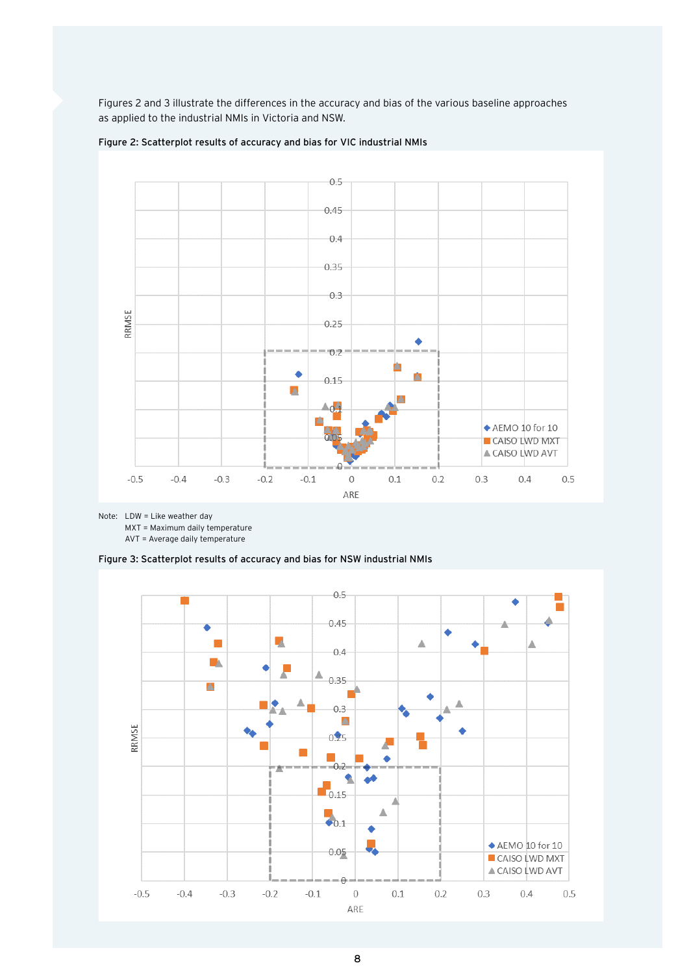Figures 2 and 3 illustrate the differences in the accuracy and bias of the various baseline approaches as applied to the industrial NMIs in Victoria and NSW.



Figure 2: Scatterplot results of accuracy and bias for VIC industrial NMIs

Note: LDW = Like weather day

MXT = Maximum daily temperature

AVT = Average daily temperature



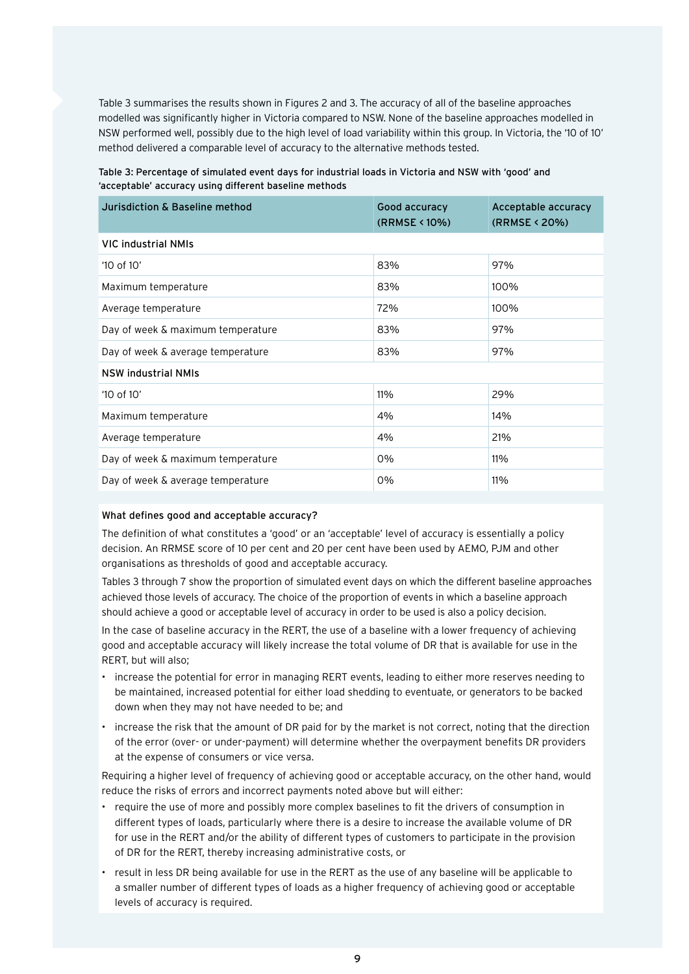Table 3 summarises the results shown in Figures 2 and 3. The accuracy of all of the baseline approaches modelled was significantly higher in Victoria compared to NSW. None of the baseline approaches modelled in NSW performed well, possibly due to the high level of load variability within this group. In Victoria, the '10 of 10' method delivered a comparable level of accuracy to the alternative methods tested.

# Table 3: Percentage of simulated event days for industrial loads in Victoria and NSW with 'good' and 'acceptable' accuracy using different baseline methods

| Jurisdiction & Baseline method    | Good accuracy<br>(RRMSE < 10%) | Acceptable accuracy<br>(RRMSE < 20%) |
|-----------------------------------|--------------------------------|--------------------------------------|
| <b>VIC industrial NMIs</b>        |                                |                                      |
| '10 of 10'                        | 83%                            | 97%                                  |
| Maximum temperature               | 83%                            | 100%                                 |
| Average temperature               | 72%                            | 100%                                 |
| Day of week & maximum temperature | 83%                            | 97%                                  |
| Day of week & average temperature | 83%                            | 97%                                  |
| <b>NSW industrial NMIs</b>        |                                |                                      |
| $'10$ of $10'$                    | 11%                            | 29%                                  |
| Maximum temperature               | 4%                             | 14%                                  |
| Average temperature               | 4%                             | 21%                                  |
| Day of week & maximum temperature | 0%                             | 11%                                  |
| Day of week & average temperature | 0%                             | 11%                                  |

# What defines good and acceptable accuracy?

The definition of what constitutes a 'good' or an 'acceptable' level of accuracy is essentially a policy decision. An RRMSE score of 10 per cent and 20 per cent have been used by AEMO, PJM and other organisations as thresholds of good and acceptable accuracy.

Tables 3 through 7 show the proportion of simulated event days on which the different baseline approaches achieved those levels of accuracy. The choice of the proportion of events in which a baseline approach should achieve a good or acceptable level of accuracy in order to be used is also a policy decision.

In the case of baseline accuracy in the RERT, the use of a baseline with a lower frequency of achieving good and acceptable accuracy will likely increase the total volume of DR that is available for use in the RERT, but will also;

- increase the potential for error in managing RERT events, leading to either more reserves needing to be maintained, increased potential for either load shedding to eventuate, or generators to be backed down when they may not have needed to be; and
- increase the risk that the amount of DR paid for by the market is not correct, noting that the direction of the error (over- or under-payment) will determine whether the overpayment benefits DR providers at the expense of consumers or vice versa.

Requiring a higher level of frequency of achieving good or acceptable accuracy, on the other hand, would reduce the risks of errors and incorrect payments noted above but will either:

- require the use of more and possibly more complex baselines to fit the drivers of consumption in different types of loads, particularly where there is a desire to increase the available volume of DR for use in the RERT and/or the ability of different types of customers to participate in the provision of DR for the RERT, thereby increasing administrative costs, or
- result in less DR being available for use in the RERT as the use of any baseline will be applicable to a smaller number of different types of loads as a higher frequency of achieving good or acceptable levels of accuracy is required.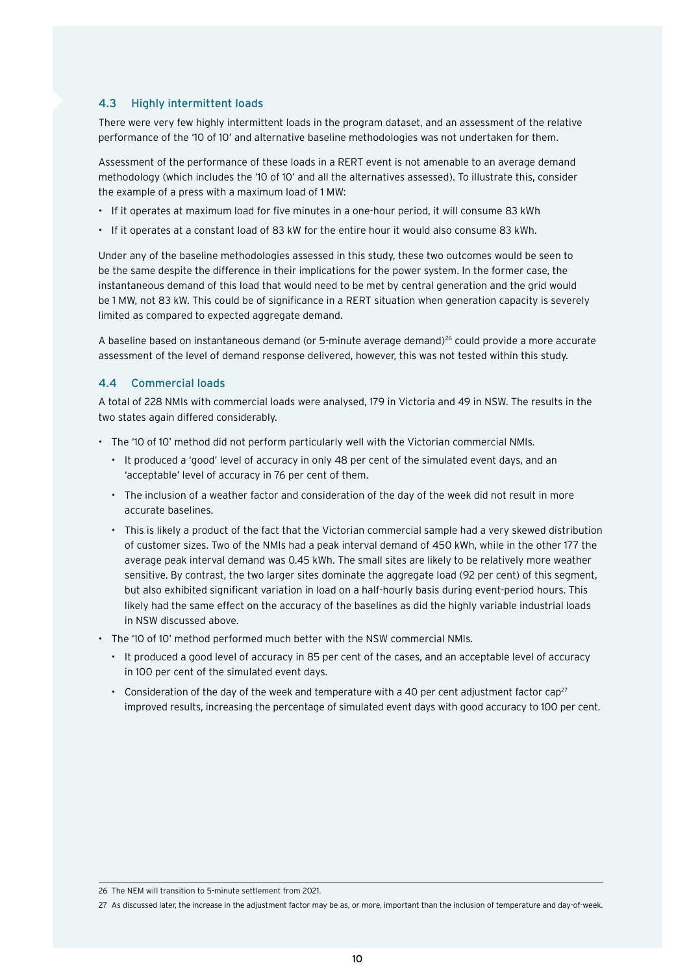#### <span id="page-12-0"></span>4.3 Highly intermittent loads

There were very few highly intermittent loads in the program dataset, and an assessment of the relative performance of the '10 of 10' and alternative baseline methodologies was not undertaken for them.

Assessment of the performance of these loads in a RERT event is not amenable to an average demand methodology (which includes the '10 of 10' and all the alternatives assessed). To illustrate this, consider the example of a press with a maximum load of 1 MW:

- If it operates at maximum load for five minutes in a one-hour period, it will consume 83 kWh
- If it operates at a constant load of 83 kW for the entire hour it would also consume 83 kWh.

Under any of the baseline methodologies assessed in this study, these two outcomes would be seen to be the same despite the difference in their implications for the power system. In the former case, the instantaneous demand of this load that would need to be met by central generation and the grid would be 1 MW, not 83 kW. This could be of significance in a RERT situation when generation capacity is severely limited as compared to expected aggregate demand.

A baseline based on instantaneous demand (or 5-minute average demand)<sup>26</sup> could provide a more accurate assessment of the level of demand response delivered, however, this was not tested within this study.

# 4.4 Commercial loads

A total of 228 NMIs with commercial loads were analysed, 179 in Victoria and 49 in NSW. The results in the two states again differed considerably.

- The '10 of 10' method did not perform particularly well with the Victorian commercial NMIs.
	- It produced a 'good' level of accuracy in only 48 per cent of the simulated event days, and an 'acceptable' level of accuracy in 76 per cent of them.
	- The inclusion of a weather factor and consideration of the day of the week did not result in more accurate baselines.
	- This is likely a product of the fact that the Victorian commercial sample had a very skewed distribution of customer sizes. Two of the NMIs had a peak interval demand of 450 kWh, while in the other 177 the average peak interval demand was 0.45 kWh. The small sites are likely to be relatively more weather sensitive. By contrast, the two larger sites dominate the aggregate load (92 per cent) of this segment, but also exhibited significant variation in load on a half-hourly basis during event-period hours. This likely had the same effect on the accuracy of the baselines as did the highly variable industrial loads in NSW discussed above.
- The '10 of 10' method performed much better with the NSW commercial NMIs.
	- It produced a good level of accuracy in 85 per cent of the cases, and an acceptable level of accuracy in 100 per cent of the simulated event days.
	- Consideration of the day of the week and temperature with a 40 per cent adjustment factor cap<sup>27</sup> improved results, increasing the percentage of simulated event days with good accuracy to 100 per cent.

<sup>26</sup> The NEM will transition to 5-minute settlement from 2021.

<sup>27</sup> As discussed later, the increase in the adjustment factor may be as, or more, important than the inclusion of temperature and day-of-week.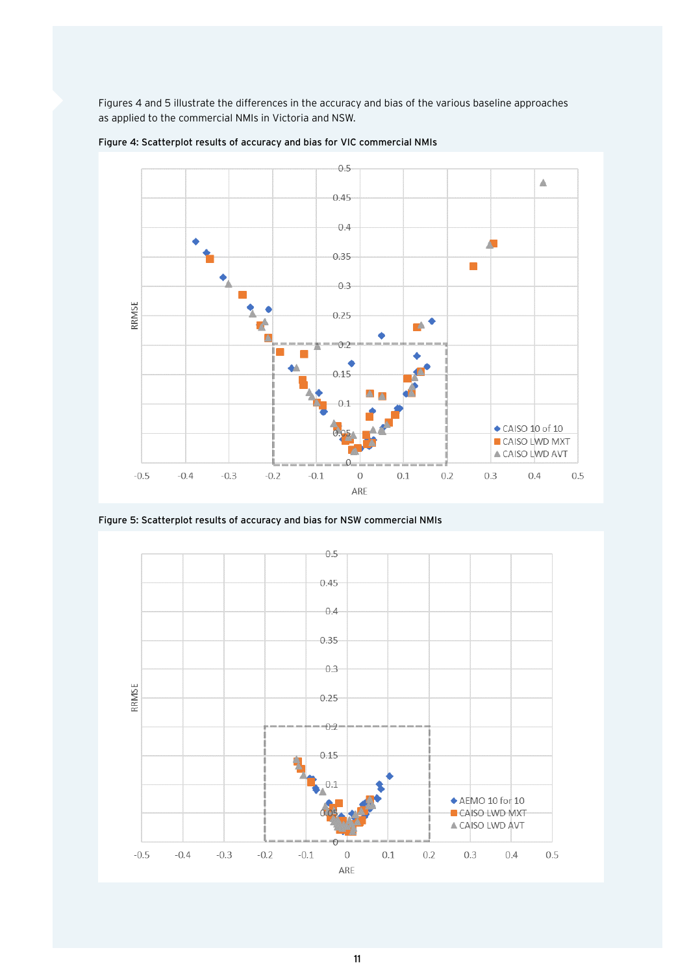Figures 4 and 5 illustrate the differences in the accuracy and bias of the various baseline approaches as applied to the commercial NMIs in Victoria and NSW.



Figure 4: Scatterplot results of accuracy and bias for VIC commercial NMIs

Figure 5: Scatterplot results of accuracy and bias for NSW commercial NMIs

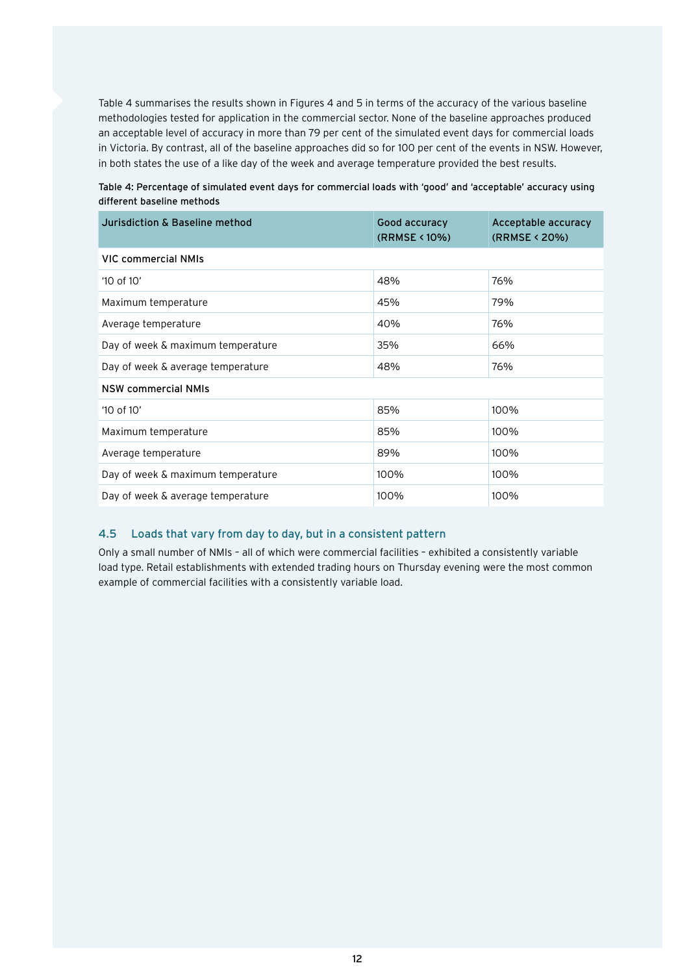<span id="page-14-0"></span>Table 4 summarises the results shown in Figures 4 and 5 in terms of the accuracy of the various baseline methodologies tested for application in the commercial sector. None of the baseline approaches produced an acceptable level of accuracy in more than 79 per cent of the simulated event days for commercial loads in Victoria. By contrast, all of the baseline approaches did so for 100 per cent of the events in NSW. However, in both states the use of a like day of the week and average temperature provided the best results.

| Table 4: Percentage of simulated event days for commercial loads with 'good' and 'acceptable' accuracy using |  |  |  |
|--------------------------------------------------------------------------------------------------------------|--|--|--|
| different baseline methods                                                                                   |  |  |  |

| Jurisdiction & Baseline method    | Good accuracy<br>(RRMSE < 10%) | Acceptable accuracy<br>(RRMSE < 20%) |
|-----------------------------------|--------------------------------|--------------------------------------|
| VIC commercial NMIs               |                                |                                      |
| '10 of 10'                        | 48%                            | 76%                                  |
| Maximum temperature               | 45%                            | 79%                                  |
| Average temperature               | 40%                            | 76%                                  |
| Day of week & maximum temperature | 35%                            | 66%                                  |
| Day of week & average temperature | 48%                            | 76%                                  |
| <b>NSW commercial NMIs</b>        |                                |                                      |
| $'10$ of $10'$                    | 85%                            | 100%                                 |
| Maximum temperature               | 85%                            | 100%                                 |
| Average temperature               | 89%                            | 100%                                 |
| Day of week & maximum temperature | 100%                           | 100%                                 |
| Day of week & average temperature | 100%                           | 100%                                 |

# 4.5 Loads that vary from day to day, but in a consistent pattern

Only a small number of NMIs – all of which were commercial facilities – exhibited a consistently variable load type. Retail establishments with extended trading hours on Thursday evening were the most common example of commercial facilities with a consistently variable load.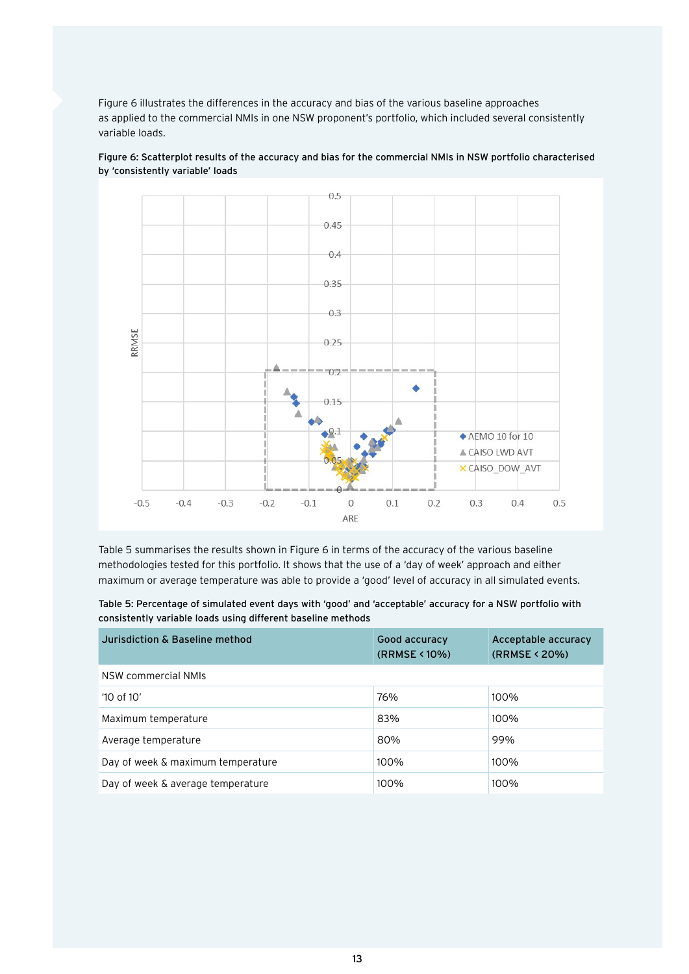Figure 6 illustrates the differences in the accuracy and bias of the various baseline approaches as applied to the commercial NMIs in one NSW proponent's portfolio, which included several consistently variable loads.



Figure 6: Scatterplot results of the accuracy and bias for the commercial NMIs in NSW portfolio characterised by 'consistently variable' loads

Table 5 summarises the results shown in Figure 6 in terms of the accuracy of the various baseline methodologies tested for this portfolio. It shows that the use of a 'day of week' approach and either maximum or average temperature was able to provide a 'good' level of accuracy in all simulated events.

|  | Table 5: Percentage of simulated event days with 'good' and 'acceptable' accuracy for a NSW portfolio with |  |  |  |  |  |
|--|------------------------------------------------------------------------------------------------------------|--|--|--|--|--|
|  | consistently variable loads using different baseline methods                                               |  |  |  |  |  |

| Jurisdiction & Baseline method    | Good accuracy<br>(RRMSE < 10%) | Acceptable accuracy<br>(RRMSE < 20%) |
|-----------------------------------|--------------------------------|--------------------------------------|
| NSW commercial NMIs               |                                |                                      |
| $'10$ of $10'$                    | 76%                            | 100%                                 |
| Maximum temperature               | 83%                            | 100%                                 |
| Average temperature               | 80%                            | 99%                                  |
| Day of week & maximum temperature | 100%                           | 100%                                 |
| Day of week & average temperature | 100%                           | 100%                                 |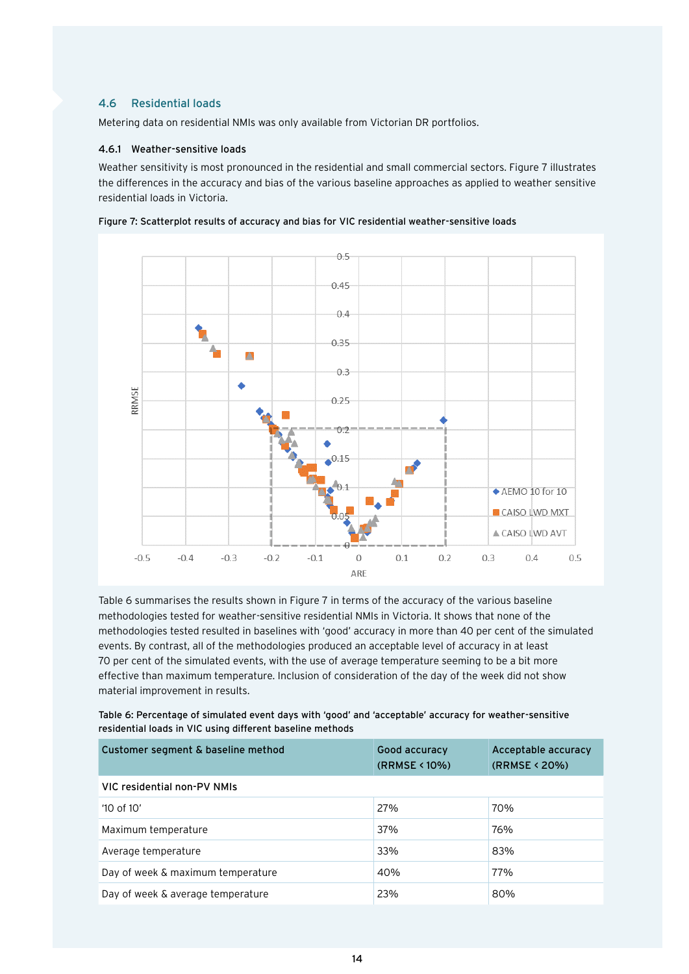# <span id="page-16-0"></span>4.6 Residential loads

Metering data on residential NMIs was only available from Victorian DR portfolios.

#### 4.6.1 Weather-sensitive loads

Weather sensitivity is most pronounced in the residential and small commercial sectors. Figure 7 illustrates the differences in the accuracy and bias of the various baseline approaches as applied to weather sensitive residential loads in Victoria.



Figure 7: Scatterplot results of accuracy and bias for VIC residential weather-sensitive loads

Table 6 summarises the results shown in Figure 7 in terms of the accuracy of the various baseline methodologies tested for weather-sensitive residential NMIs in Victoria. It shows that none of the methodologies tested resulted in baselines with 'good' accuracy in more than 40 per cent of the simulated events. By contrast, all of the methodologies produced an acceptable level of accuracy in at least 70 per cent of the simulated events, with the use of average temperature seeming to be a bit more effective than maximum temperature. Inclusion of consideration of the day of the week did not show material improvement in results.

Table 6: Percentage of simulated event days with 'good' and 'acceptable' accuracy for weather-sensitive residential loads in VIC using different baseline methods

| Customer segment & baseline method | Good accuracy<br>(RRMSE < 10%) | Acceptable accuracy<br>(RRMSE < 20%) |
|------------------------------------|--------------------------------|--------------------------------------|
| VIC residential non-PV NMIs        |                                |                                      |
| $'10$ of $10'$                     | 27%                            | 70%                                  |
| Maximum temperature                | 37%                            | 76%                                  |
| Average temperature                | 33%                            | 83%                                  |
| Day of week & maximum temperature  | 40%                            | 77%                                  |
| Day of week & average temperature  | 23%                            | 80%                                  |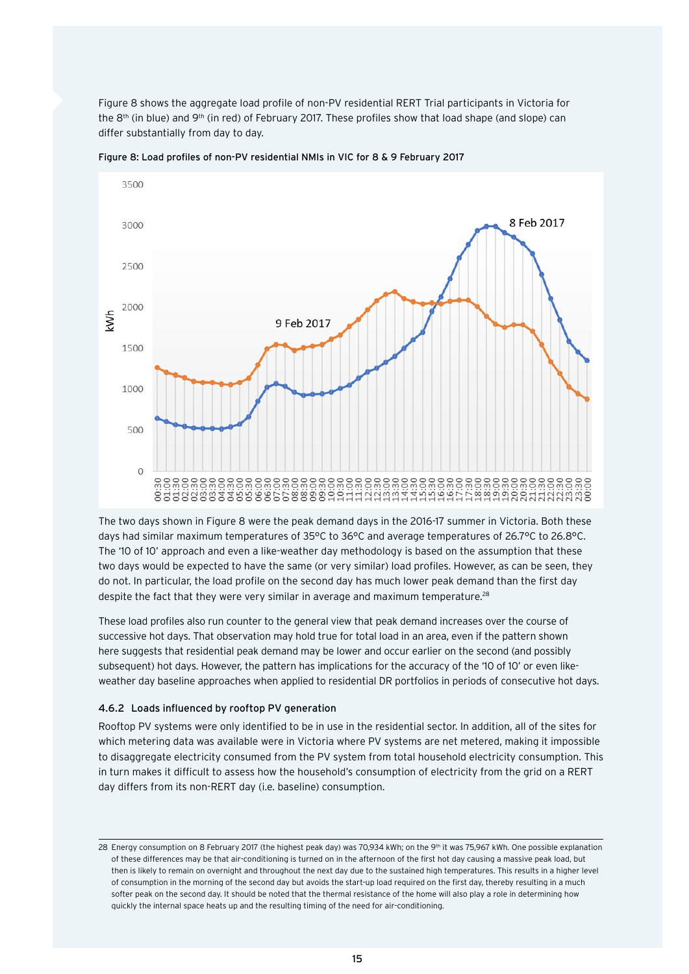<span id="page-17-0"></span>Figure 8 shows the aggregate load profile of non-PV residential RERT Trial participants in Victoria for the 8<sup>th</sup> (in blue) and 9<sup>th</sup> (in red) of February 2017. These profiles show that load shape (and slope) can differ substantially from day to day.



Figure 8: Load profiles of non-PV residential NMIs in VIC for 8 & 9 February 2017

The two days shown in Figure 8 were the peak demand days in the 2016-17 summer in Victoria. Both these days had similar maximum temperatures of 35°C to 36°C and average temperatures of 26.7°C to 26.8°C. The '10 of 10' approach and even a like-weather day methodology is based on the assumption that these two days would be expected to have the same (or very similar) load profiles. However, as can be seen, they do not. In particular, the load profile on the second day has much lower peak demand than the first day despite the fact that they were very similar in average and maximum temperature.<sup>28</sup>

These load profiles also run counter to the general view that peak demand increases over the course of successive hot days. That observation may hold true for total load in an area, even if the pattern shown here suggests that residential peak demand may be lower and occur earlier on the second (and possibly subsequent) hot days. However, the pattern has implications for the accuracy of the '10 of 10' or even likeweather day baseline approaches when applied to residential DR portfolios in periods of consecutive hot days.

# 4.6.2 Loads influenced by rooftop PV generation

Rooftop PV systems were only identified to be in use in the residential sector. In addition, all of the sites for which metering data was available were in Victoria where PV systems are net metered, making it impossible to disaggregate electricity consumed from the PV system from total household electricity consumption. This in turn makes it difficult to assess how the household's consumption of electricity from the grid on a RERT day differs from its non-RERT day (i.e. baseline) consumption.

<sup>28</sup> Energy consumption on 8 February 2017 (the highest peak day) was 70,934 kWh; on the 9<sup>th</sup> it was 75,967 kWh. One possible explanation of these differences may be that air-conditioning is turned on in the afternoon of the first hot day causing a massive peak load, but then is likely to remain on overnight and throughout the next day due to the sustained high temperatures. This results in a higher level of consumption in the morning of the second day but avoids the start-up load required on the first day, thereby resulting in a much softer peak on the second day. It should be noted that the thermal resistance of the home will also play a role in determining how quickly the internal space heats up and the resulting timing of the need for air-conditioning.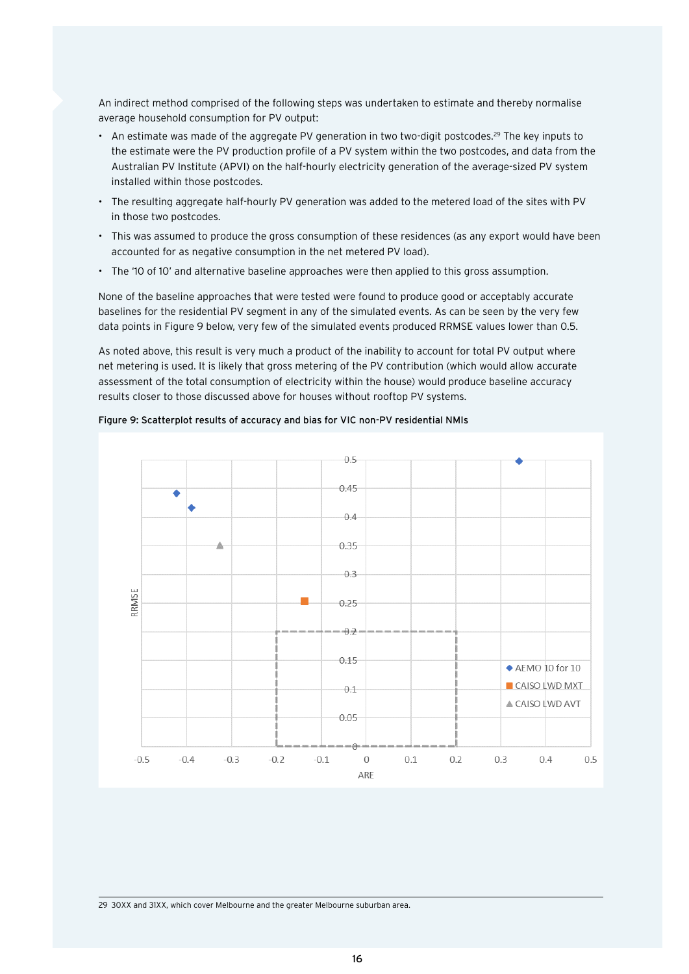An indirect method comprised of the following steps was undertaken to estimate and thereby normalise average household consumption for PV output:

- An estimate was made of the aggregate PV generation in two two-digit postcodes.<sup>29</sup> The key inputs to the estimate were the PV production profile of a PV system within the two postcodes, and data from the Australian PV Institute (APVI) on the half-hourly electricity generation of the average-sized PV system installed within those postcodes.
- The resulting aggregate half-hourly PV generation was added to the metered load of the sites with PV in those two postcodes.
- This was assumed to produce the gross consumption of these residences (as any export would have been accounted for as negative consumption in the net metered PV load).
- The '10 of 10' and alternative baseline approaches were then applied to this gross assumption.

None of the baseline approaches that were tested were found to produce good or acceptably accurate baselines for the residential PV segment in any of the simulated events. As can be seen by the very few data points in Figure 9 below, very few of the simulated events produced RRMSE values lower than 0.5.

As noted above, this result is very much a product of the inability to account for total PV output where net metering is used. It is likely that gross metering of the PV contribution (which would allow accurate assessment of the total consumption of electricity within the house) would produce baseline accuracy results closer to those discussed above for houses without rooftop PV systems.

#### Figure 9: Scatterplot results of accuracy and bias for VIC non-PV residential NMIs



29 30XX and 31XX, which cover Melbourne and the greater Melbourne suburban area.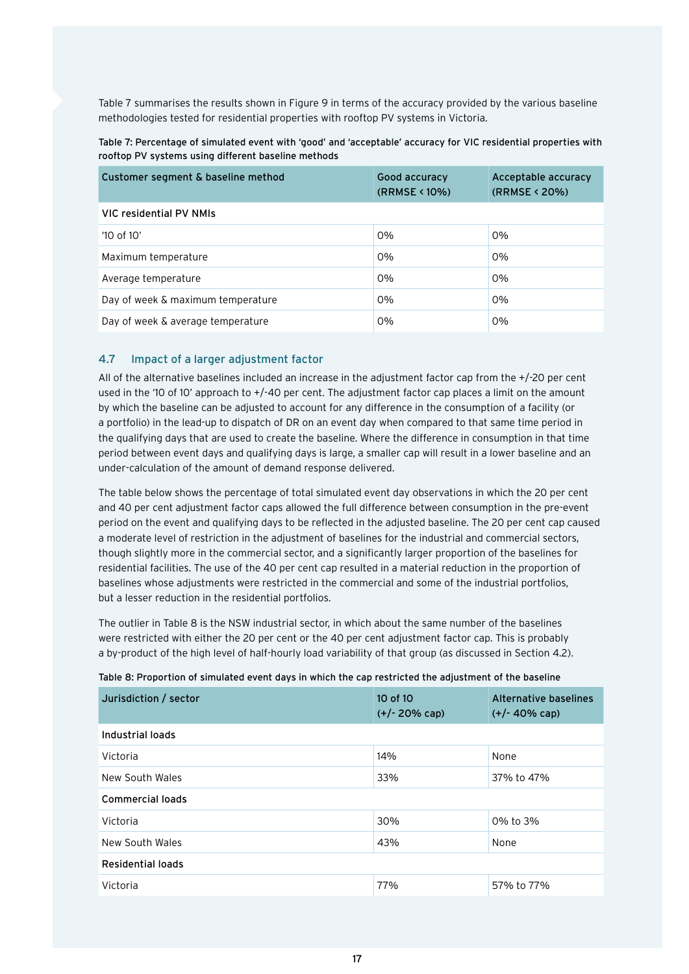<span id="page-19-0"></span>Table 7 summarises the results shown in Figure 9 in terms of the accuracy provided by the various baseline methodologies tested for residential properties with rooftop PV systems in Victoria.

| Table 7: Percentage of simulated event with 'good' and 'acceptable' accuracy for VIC residential properties with |  |  |
|------------------------------------------------------------------------------------------------------------------|--|--|
| rooftop PV systems using different baseline methods                                                              |  |  |

| Customer segment & baseline method | Good accuracy<br>(RRMSE < 10%) | Acceptable accuracy<br>(RRMSE < 20%) |
|------------------------------------|--------------------------------|--------------------------------------|
| VIC residential PV NMIs            |                                |                                      |
| $'10$ of $10'$                     | 0%                             | $0\%$                                |
| Maximum temperature                | 0%                             | 0%                                   |
| Average temperature                | 0%                             | 0%                                   |
| Day of week & maximum temperature  | 0%                             | 0%                                   |
| Day of week & average temperature  | 0%                             | 0%                                   |

# 4.7 Impact of a larger adjustment factor

All of the alternative baselines included an increase in the adjustment factor cap from the +/-20 per cent used in the '10 of 10' approach to +/-40 per cent. The adjustment factor cap places a limit on the amount by which the baseline can be adjusted to account for any difference in the consumption of a facility (or a portfolio) in the lead-up to dispatch of DR on an event day when compared to that same time period in the qualifying days that are used to create the baseline. Where the difference in consumption in that time period between event days and qualifying days is large, a smaller cap will result in a lower baseline and an under-calculation of the amount of demand response delivered.

The table below shows the percentage of total simulated event day observations in which the 20 per cent and 40 per cent adjustment factor caps allowed the full difference between consumption in the pre-event period on the event and qualifying days to be reflected in the adjusted baseline. The 20 per cent cap caused a moderate level of restriction in the adjustment of baselines for the industrial and commercial sectors, though slightly more in the commercial sector, and a significantly larger proportion of the baselines for residential facilities. The use of the 40 per cent cap resulted in a material reduction in the proportion of baselines whose adjustments were restricted in the commercial and some of the industrial portfolios, but a lesser reduction in the residential portfolios.

The outlier in Table 8 is the NSW industrial sector, in which about the same number of the baselines were restricted with either the 20 per cent or the 40 per cent adjustment factor cap. This is probably a by-product of the high level of half-hourly load variability of that group (as discussed in Section 4.2).

|  |  | Table 8: Proportion of simulated event days in which the cap restricted the adjustment of the baseline |
|--|--|--------------------------------------------------------------------------------------------------------|
|  |  |                                                                                                        |

| Jurisdiction / sector   | 10 of 10<br>$(+/- 20\%$ cap) | Alternative baselines<br>$(+/- 40\%$ cap) |
|-------------------------|------------------------------|-------------------------------------------|
| Industrial loads        |                              |                                           |
| Victoria                | 14%                          | None                                      |
| New South Wales         | 33%                          | 37% to 47%                                |
| <b>Commercial loads</b> |                              |                                           |
| Victoria                | 30%                          | 0% to 3%                                  |
| New South Wales         | 43%                          | None                                      |
| Residential loads       |                              |                                           |
| Victoria                | 77%                          | 57% to 77%                                |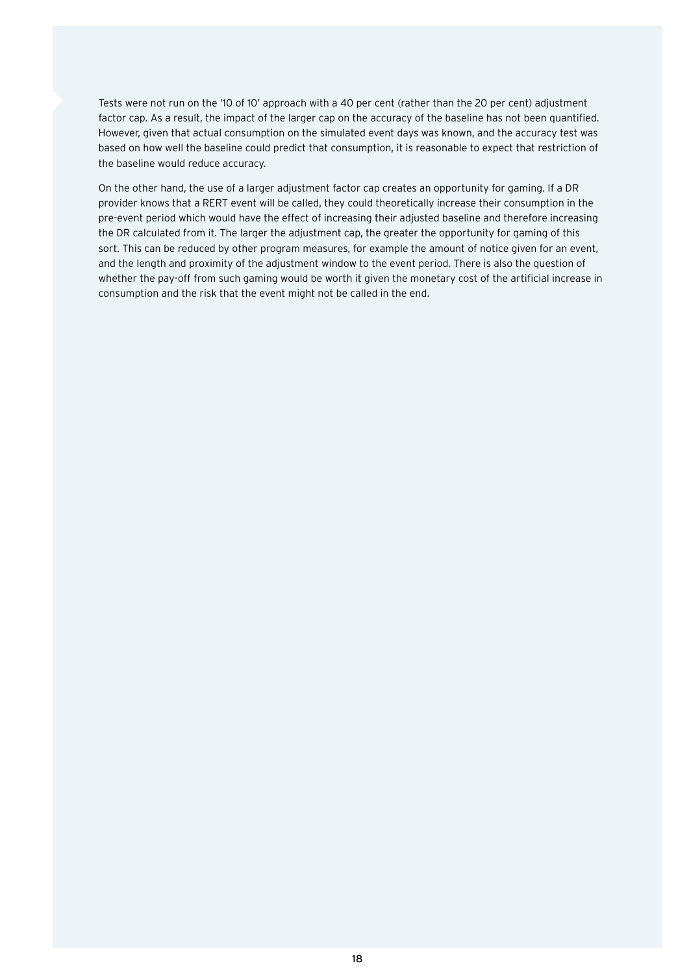Tests were not run on the '10 of 10' approach with a 40 per cent (rather than the 20 per cent) adjustment factor cap. As a result, the impact of the larger cap on the accuracy of the baseline has not been quantified. However, given that actual consumption on the simulated event days was known, and the accuracy test was based on how well the baseline could predict that consumption, it is reasonable to expect that restriction of the baseline would reduce accuracy.

On the other hand, the use of a larger adjustment factor cap creates an opportunity for gaming. If a DR provider knows that a RERT event will be called, they could theoretically increase their consumption in the pre-event period which would have the effect of increasing their adjusted baseline and therefore increasing the DR calculated from it. The larger the adjustment cap, the greater the opportunity for gaming of this sort. This can be reduced by other program measures, for example the amount of notice given for an event, and the length and proximity of the adjustment window to the event period. There is also the question of whether the pay-off from such gaming would be worth it given the monetary cost of the artificial increase in consumption and the risk that the event might not be called in the end.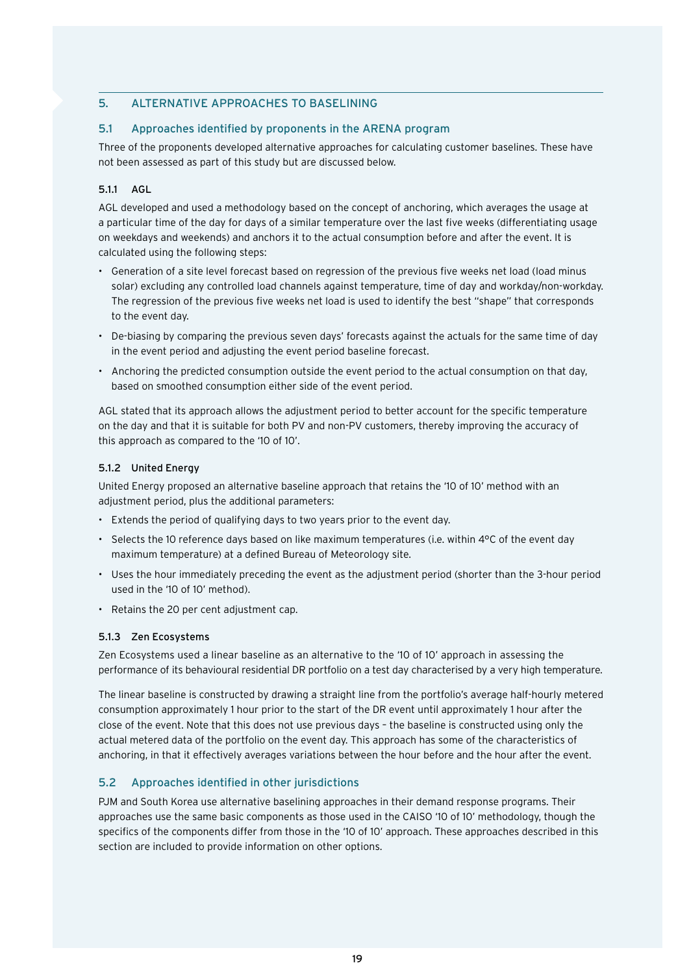# <span id="page-21-0"></span>5. ALTERNATIVE APPROACHES TO BASELINING

## 5.1 Approaches identified by proponents in the ARENA program

Three of the proponents developed alternative approaches for calculating customer baselines. These have not been assessed as part of this study but are discussed below.

#### 5.1.1 AGL

AGL developed and used a methodology based on the concept of anchoring, which averages the usage at a particular time of the day for days of a similar temperature over the last five weeks (differentiating usage on weekdays and weekends) and anchors it to the actual consumption before and after the event. It is calculated using the following steps:

- Generation of a site level forecast based on regression of the previous five weeks net load (load minus solar) excluding any controlled load channels against temperature, time of day and workday/non-workday. The regression of the previous five weeks net load is used to identify the best "shape" that corresponds to the event day.
- De-biasing by comparing the previous seven days' forecasts against the actuals for the same time of day in the event period and adjusting the event period baseline forecast.
- Anchoring the predicted consumption outside the event period to the actual consumption on that day, based on smoothed consumption either side of the event period.

AGL stated that its approach allows the adjustment period to better account for the specific temperature on the day and that it is suitable for both PV and non-PV customers, thereby improving the accuracy of this approach as compared to the '10 of 10'.

#### 5.1.2 United Energy

United Energy proposed an alternative baseline approach that retains the '10 of 10' method with an adjustment period, plus the additional parameters:

- Extends the period of qualifying days to two years prior to the event day.
- Selects the 10 reference days based on like maximum temperatures (i.e. within 4°C of the event day maximum temperature) at a defined Bureau of Meteorology site.
- Uses the hour immediately preceding the event as the adjustment period (shorter than the 3-hour period used in the '10 of 10' method).
- Retains the 20 per cent adjustment cap.

# 5.1.3 Zen Ecosystems

Zen Ecosystems used a linear baseline as an alternative to the '10 of 10' approach in assessing the performance of its behavioural residential DR portfolio on a test day characterised by a very high temperature.

The linear baseline is constructed by drawing a straight line from the portfolio's average half-hourly metered consumption approximately 1 hour prior to the start of the DR event until approximately 1 hour after the close of the event. Note that this does not use previous days – the baseline is constructed using only the actual metered data of the portfolio on the event day. This approach has some of the characteristics of anchoring, in that it effectively averages variations between the hour before and the hour after the event.

# 5.2 Approaches identified in other jurisdictions

PJM and South Korea use alternative baselining approaches in their demand response programs. Their approaches use the same basic components as those used in the CAISO '10 of 10' methodology, though the specifics of the components differ from those in the '10 of 10' approach. These approaches described in this section are included to provide information on other options.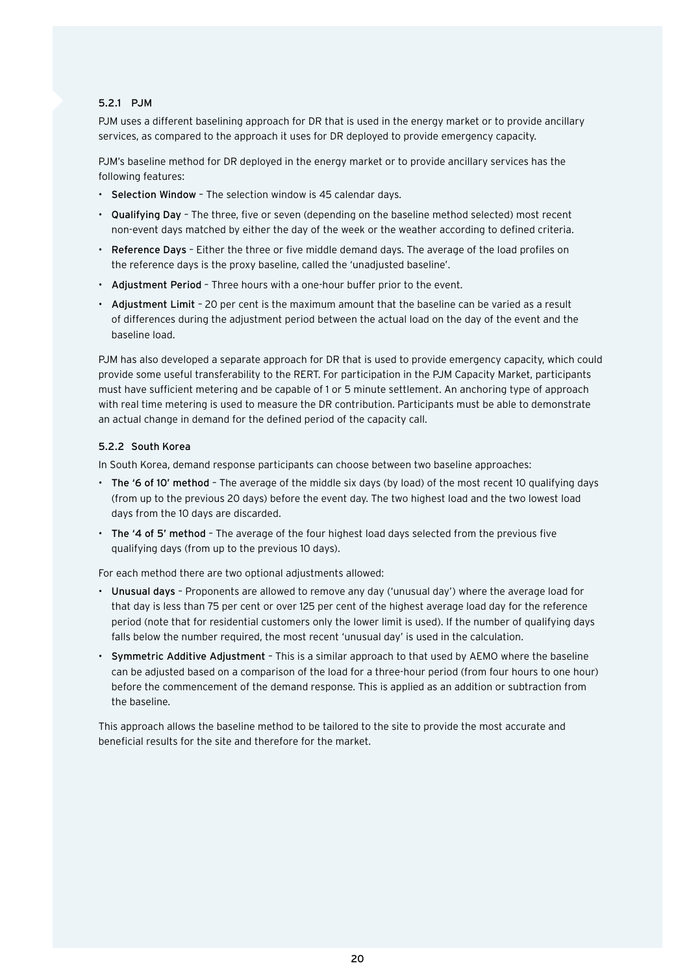## <span id="page-22-0"></span>5.2.1 PJM

PJM uses a different baselining approach for DR that is used in the energy market or to provide ancillary services, as compared to the approach it uses for DR deployed to provide emergency capacity.

PJM's baseline method for DR deployed in the energy market or to provide ancillary services has the following features:

- Selection Window The selection window is 45 calendar days.
- Qualifying Day The three, five or seven (depending on the baseline method selected) most recent non-event days matched by either the day of the week or the weather according to defined criteria.
- Reference Days Either the three or five middle demand days. The average of the load profiles on the reference days is the proxy baseline, called the 'unadjusted baseline'.
- Adjustment Period Three hours with a one-hour buffer prior to the event.
- Adjustment Limit 20 per cent is the maximum amount that the baseline can be varied as a result of differences during the adjustment period between the actual load on the day of the event and the baseline load.

PJM has also developed a separate approach for DR that is used to provide emergency capacity, which could provide some useful transferability to the RERT. For participation in the PJM Capacity Market, participants must have sufficient metering and be capable of 1 or 5 minute settlement. An anchoring type of approach with real time metering is used to measure the DR contribution. Participants must be able to demonstrate an actual change in demand for the defined period of the capacity call.

#### 5.2.2 South Korea

In South Korea, demand response participants can choose between two baseline approaches:

- The '6 of 10' method The average of the middle six days (by load) of the most recent 10 qualifying days (from up to the previous 20 days) before the event day. The two highest load and the two lowest load days from the 10 days are discarded.
- The '4 of 5' method The average of the four highest load days selected from the previous five qualifying days (from up to the previous 10 days).

For each method there are two optional adjustments allowed:

- Unusual days Proponents are allowed to remove any day ('unusual day') where the average load for that day is less than 75 per cent or over 125 per cent of the highest average load day for the reference period (note that for residential customers only the lower limit is used). If the number of qualifying days falls below the number required, the most recent 'unusual day' is used in the calculation.
- Symmetric Additive Adjustment This is a similar approach to that used by AEMO where the baseline can be adjusted based on a comparison of the load for a three-hour period (from four hours to one hour) before the commencement of the demand response. This is applied as an addition or subtraction from the baseline.

This approach allows the baseline method to be tailored to the site to provide the most accurate and beneficial results for the site and therefore for the market.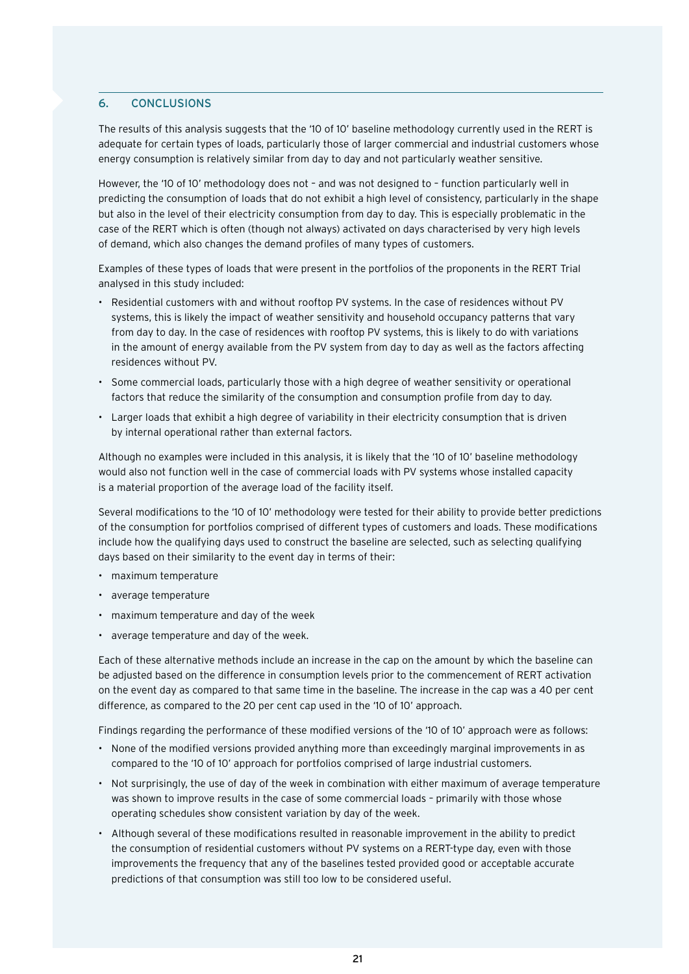# <span id="page-23-0"></span>6. CONCLUSIONS

The results of this analysis suggests that the '10 of 10' baseline methodology currently used in the RERT is adequate for certain types of loads, particularly those of larger commercial and industrial customers whose energy consumption is relatively similar from day to day and not particularly weather sensitive.

However, the '10 of 10' methodology does not – and was not designed to – function particularly well in predicting the consumption of loads that do not exhibit a high level of consistency, particularly in the shape but also in the level of their electricity consumption from day to day. This is especially problematic in the case of the RERT which is often (though not always) activated on days characterised by very high levels of demand, which also changes the demand profiles of many types of customers.

Examples of these types of loads that were present in the portfolios of the proponents in the RERT Trial analysed in this study included:

- Residential customers with and without rooftop PV systems. In the case of residences without PV systems, this is likely the impact of weather sensitivity and household occupancy patterns that vary from day to day. In the case of residences with rooftop PV systems, this is likely to do with variations in the amount of energy available from the PV system from day to day as well as the factors affecting residences without PV.
- Some commercial loads, particularly those with a high degree of weather sensitivity or operational factors that reduce the similarity of the consumption and consumption profile from day to day.
- Larger loads that exhibit a high degree of variability in their electricity consumption that is driven by internal operational rather than external factors.

Although no examples were included in this analysis, it is likely that the '10 of 10' baseline methodology would also not function well in the case of commercial loads with PV systems whose installed capacity is a material proportion of the average load of the facility itself.

Several modifications to the '10 of 10' methodology were tested for their ability to provide better predictions of the consumption for portfolios comprised of different types of customers and loads. These modifications include how the qualifying days used to construct the baseline are selected, such as selecting qualifying days based on their similarity to the event day in terms of their:

- maximum temperature
- average temperature
- maximum temperature and day of the week
- average temperature and day of the week.

Each of these alternative methods include an increase in the cap on the amount by which the baseline can be adjusted based on the difference in consumption levels prior to the commencement of RERT activation on the event day as compared to that same time in the baseline. The increase in the cap was a 40 per cent difference, as compared to the 20 per cent cap used in the '10 of 10' approach.

Findings regarding the performance of these modified versions of the '10 of 10' approach were as follows:

- None of the modified versions provided anything more than exceedingly marginal improvements in as compared to the '10 of 10' approach for portfolios comprised of large industrial customers.
- Not surprisingly, the use of day of the week in combination with either maximum of average temperature was shown to improve results in the case of some commercial loads – primarily with those whose operating schedules show consistent variation by day of the week.
- Although several of these modifications resulted in reasonable improvement in the ability to predict the consumption of residential customers without PV systems on a RERT-type day, even with those improvements the frequency that any of the baselines tested provided good or acceptable accurate predictions of that consumption was still too low to be considered useful.